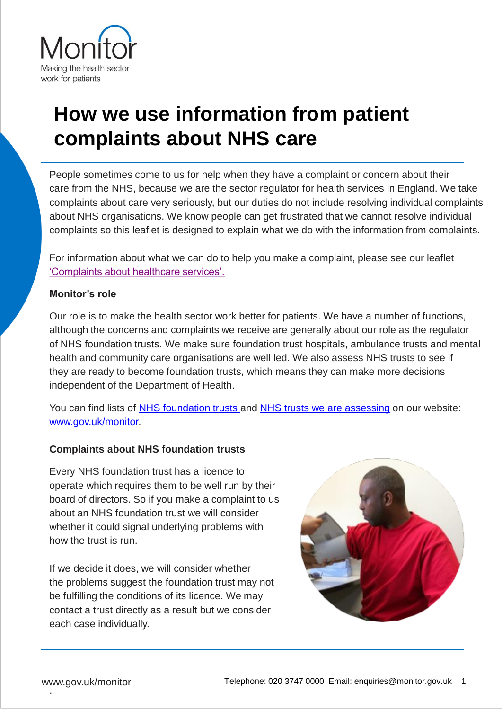

# **How we use information from patient complaints about NHS care**

People sometimes come to us for help when they have a complaint or concern about their care from the NHS, because we are the sector regulator for health services in England. We take complaints about care very seriously, but our duties do not include resolving individual complaints about NHS organisations. We know people can get frustrated that we cannot resolve individual complaints so this leaflet is designed to explain what we do with the information from complaints.

For information about what we can do to help you make a complaint, please see our leaflet ['Complaints about healthcare services'.](https://www.gov.uk/government/organisations/monitor/about/complaints-procedure#complain-about-a-care-provider)

## **Monitor's role**

Our role is to make the health sector work better for patients. We have a number of functions, although the concerns and complaints we receive are generally about our role as the regulator of NHS foundation trusts. We make sure foundation trust hospitals, ambulance trusts and mental health and community care organisations are well led. We also assess NHS trusts to see if they are ready to become foundation trusts, which means they can make more decisions independent of the Department of Health.

You can find lists of [NHS foundation trusts](https://www.gov.uk/government/publications/nhs-foundation-trust-directory/nhs-foundation-trust-directory) and [NHS trusts we are assessing](https://www.gov.uk/nhs-trusts-apply-for-nhs-foundation-trust-status#current-applicants) on our website: [www.gov.uk/monitor](http://www.gov.uk/monitor).

## **Complaints about NHS foundation trusts**

Every NHS foundation trust has a licence to operate which requires them to be well run by their board of directors. So if you make a complaint to us about an NHS foundation trust we will consider whether it could signal underlying problems with how the trust is run.

If we decide it does, we will consider whether the problems suggest the foundation trust may not be fulfilling the conditions of its licence. We may contact a trust directly as a result but we consider each case individually.